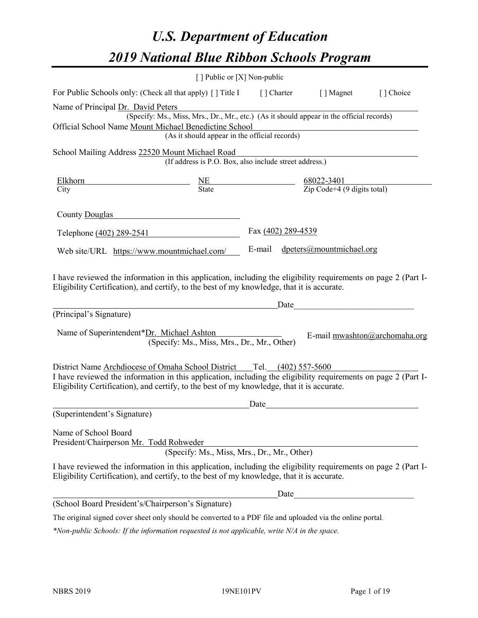# *U.S. Department of Education 2019 National Blue Ribbon Schools Program*

|                                                                                                                                                                                                                                                                                            | [] Public or [X] Non-public                                                              |                    |                                                                                                                                                                                                                               |                               |
|--------------------------------------------------------------------------------------------------------------------------------------------------------------------------------------------------------------------------------------------------------------------------------------------|------------------------------------------------------------------------------------------|--------------------|-------------------------------------------------------------------------------------------------------------------------------------------------------------------------------------------------------------------------------|-------------------------------|
| For Public Schools only: (Check all that apply) [] Title I [] Charter                                                                                                                                                                                                                      |                                                                                          |                    | [ ] Magnet                                                                                                                                                                                                                    | [] Choice                     |
| Name of Principal Dr. David Peters                                                                                                                                                                                                                                                         |                                                                                          |                    |                                                                                                                                                                                                                               |                               |
|                                                                                                                                                                                                                                                                                            | (Specify: Ms., Miss, Mrs., Dr., Mr., etc.) (As it should appear in the official records) |                    |                                                                                                                                                                                                                               |                               |
| Official School Name Mount Michael Benedictine School                                                                                                                                                                                                                                      |                                                                                          |                    |                                                                                                                                                                                                                               |                               |
|                                                                                                                                                                                                                                                                                            | (As it should appear in the official records)                                            |                    |                                                                                                                                                                                                                               |                               |
| School Mailing Address 22520 Mount Michael Road                                                                                                                                                                                                                                            |                                                                                          |                    |                                                                                                                                                                                                                               |                               |
|                                                                                                                                                                                                                                                                                            | (If address is P.O. Box, also include street address.)                                   |                    |                                                                                                                                                                                                                               |                               |
| Elkhorn                                                                                                                                                                                                                                                                                    |                                                                                          |                    |                                                                                                                                                                                                                               |                               |
| City                                                                                                                                                                                                                                                                                       | $\frac{\text{NE}}{\text{State}}$ $\frac{68022-3401}{\text{Zip Code}+4 (9 digits total)}$ |                    |                                                                                                                                                                                                                               |                               |
|                                                                                                                                                                                                                                                                                            |                                                                                          |                    |                                                                                                                                                                                                                               |                               |
| County Douglas                                                                                                                                                                                                                                                                             |                                                                                          |                    |                                                                                                                                                                                                                               |                               |
| Telephone (402) 289-2541                                                                                                                                                                                                                                                                   |                                                                                          | Fax (402) 289-4539 |                                                                                                                                                                                                                               |                               |
|                                                                                                                                                                                                                                                                                            |                                                                                          |                    |                                                                                                                                                                                                                               |                               |
| Web site/URL https://www.mountmichael.com/                                                                                                                                                                                                                                                 |                                                                                          |                    | E-mail dpeters@mountmichael.org                                                                                                                                                                                               |                               |
| Eligibility Certification), and certify, to the best of my knowledge, that it is accurate.<br>(Principal's Signature)<br>Name of Superintendent*Dr. Michael Ashton                                                                                                                         | (Specify: Ms., Miss, Mrs., Dr., Mr., Other)                                              |                    | Date and the same state of the state of the state of the state of the state of the state of the state of the state of the state of the state of the state of the state of the state of the state of the state of the state of | E-mail mwashton@archomaha.org |
| District Name Archdiocese of Omaha School District ___ Tel. (402) 557-5600<br>I have reviewed the information in this application, including the eligibility requirements on page 2 (Part I-<br>Eligibility Certification), and certify, to the best of my knowledge, that it is accurate. |                                                                                          |                    |                                                                                                                                                                                                                               |                               |
|                                                                                                                                                                                                                                                                                            |                                                                                          | Date               |                                                                                                                                                                                                                               |                               |
| (Superintendent's Signature)                                                                                                                                                                                                                                                               |                                                                                          |                    |                                                                                                                                                                                                                               |                               |
| Name of School Board<br>President/Chairperson Mr. Todd Rohweder                                                                                                                                                                                                                            | (Specify: Ms., Miss, Mrs., Dr., Mr., Other)                                              |                    |                                                                                                                                                                                                                               |                               |
| I have reviewed the information in this application, including the eligibility requirements on page 2 (Part I-<br>Eligibility Certification), and certify, to the best of my knowledge, that it is accurate.                                                                               |                                                                                          |                    |                                                                                                                                                                                                                               |                               |
|                                                                                                                                                                                                                                                                                            |                                                                                          | Date               |                                                                                                                                                                                                                               |                               |
| (School Board President's/Chairperson's Signature)                                                                                                                                                                                                                                         |                                                                                          |                    |                                                                                                                                                                                                                               |                               |
| The original signed cover sheet only should be converted to a PDF file and uploaded via the online portal.                                                                                                                                                                                 |                                                                                          |                    |                                                                                                                                                                                                                               |                               |

*\*Non-public Schools: If the information requested is not applicable, write N/A in the space.*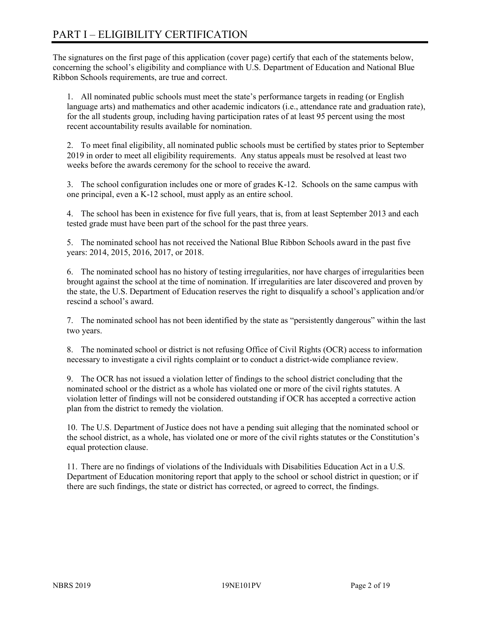# PART I – ELIGIBILITY CERTIFICATION

The signatures on the first page of this application (cover page) certify that each of the statements below, concerning the school's eligibility and compliance with U.S. Department of Education and National Blue Ribbon Schools requirements, are true and correct.

1. All nominated public schools must meet the state's performance targets in reading (or English language arts) and mathematics and other academic indicators (i.e., attendance rate and graduation rate), for the all students group, including having participation rates of at least 95 percent using the most recent accountability results available for nomination.

2. To meet final eligibility, all nominated public schools must be certified by states prior to September 2019 in order to meet all eligibility requirements. Any status appeals must be resolved at least two weeks before the awards ceremony for the school to receive the award.

3. The school configuration includes one or more of grades K-12. Schools on the same campus with one principal, even a K-12 school, must apply as an entire school.

4. The school has been in existence for five full years, that is, from at least September 2013 and each tested grade must have been part of the school for the past three years.

5. The nominated school has not received the National Blue Ribbon Schools award in the past five years: 2014, 2015, 2016, 2017, or 2018.

6. The nominated school has no history of testing irregularities, nor have charges of irregularities been brought against the school at the time of nomination. If irregularities are later discovered and proven by the state, the U.S. Department of Education reserves the right to disqualify a school's application and/or rescind a school's award.

7. The nominated school has not been identified by the state as "persistently dangerous" within the last two years.

8. The nominated school or district is not refusing Office of Civil Rights (OCR) access to information necessary to investigate a civil rights complaint or to conduct a district-wide compliance review.

9. The OCR has not issued a violation letter of findings to the school district concluding that the nominated school or the district as a whole has violated one or more of the civil rights statutes. A violation letter of findings will not be considered outstanding if OCR has accepted a corrective action plan from the district to remedy the violation.

10. The U.S. Department of Justice does not have a pending suit alleging that the nominated school or the school district, as a whole, has violated one or more of the civil rights statutes or the Constitution's equal protection clause.

11. There are no findings of violations of the Individuals with Disabilities Education Act in a U.S. Department of Education monitoring report that apply to the school or school district in question; or if there are such findings, the state or district has corrected, or agreed to correct, the findings.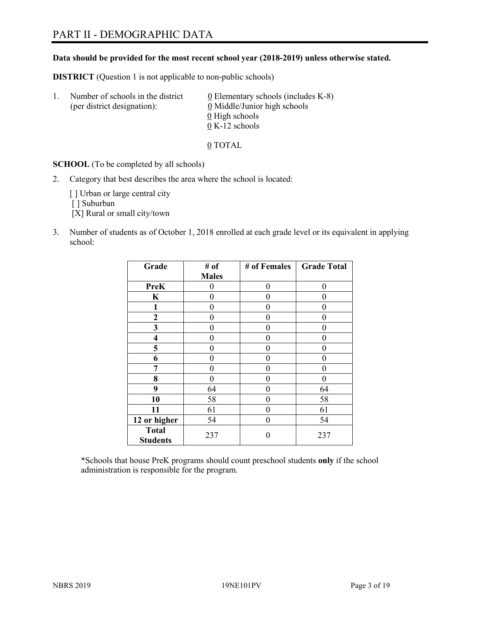## PART II - DEMOGRAPHIC DATA

#### **Data should be provided for the most recent school year (2018-2019) unless otherwise stated.**

**DISTRICT** (Question 1 is not applicable to non-public schools)

| -1. | Number of schools in the district<br>(per district designation): | $\underline{0}$ Elementary schools (includes K-8)<br>0 Middle/Junior high schools |
|-----|------------------------------------------------------------------|-----------------------------------------------------------------------------------|
|     |                                                                  | 0 High schools                                                                    |
|     |                                                                  | $0 K-12$ schools                                                                  |

0 TOTAL

**SCHOOL** (To be completed by all schools)

2. Category that best describes the area where the school is located:

[] Urban or large central city [ ] Suburban

[X] Rural or small city/town

3. Number of students as of October 1, 2018 enrolled at each grade level or its equivalent in applying school:

| Grade                           | # of         | # of Females | <b>Grade Total</b> |
|---------------------------------|--------------|--------------|--------------------|
|                                 | <b>Males</b> |              |                    |
| <b>PreK</b>                     | 0            | $\theta$     | 0                  |
| K                               | 0            | 0            | 0                  |
| $\mathbf{1}$                    | 0            | 0            | 0                  |
| $\mathbf{2}$                    | 0            | 0            | 0                  |
| 3                               | 0            | 0            | 0                  |
| 4                               | 0            | 0            | 0                  |
| 5                               | 0            | 0            | 0                  |
| 6                               | 0            | 0            | 0                  |
| 7                               | 0            | 0            | 0                  |
| 8                               | 0            | 0            | 0                  |
| 9                               | 64           | 0            | 64                 |
| 10                              | 58           | 0            | 58                 |
| 11                              | 61           | 0            | 61                 |
| 12 or higher                    | 54           | 0            | 54                 |
| <b>Total</b><br><b>Students</b> | 237          |              | 237                |

\*Schools that house PreK programs should count preschool students **only** if the school administration is responsible for the program.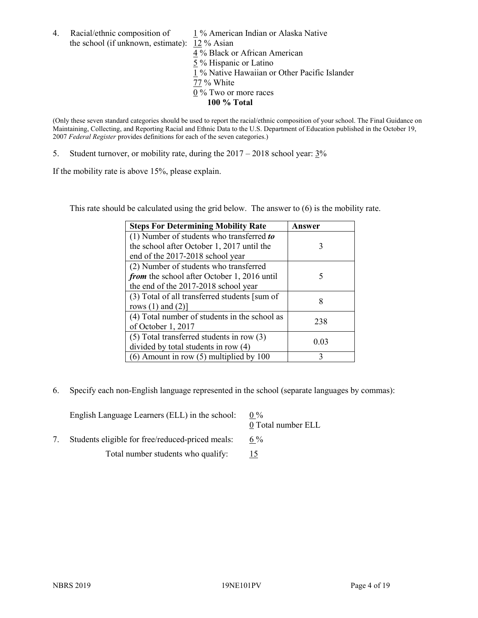the school (if unknown, estimate): 12 % Asian

4. Racial/ethnic composition of  $1\%$  American Indian or Alaska Native 4 % Black or African American 5 % Hispanic or Latino 1 % Native Hawaiian or Other Pacific Islander 77 % White  $0\%$  Two or more races **100 % Total**

(Only these seven standard categories should be used to report the racial/ethnic composition of your school. The Final Guidance on Maintaining, Collecting, and Reporting Racial and Ethnic Data to the U.S. Department of Education published in the October 19, 2007 *Federal Register* provides definitions for each of the seven categories.)

5. Student turnover, or mobility rate, during the  $2017 - 2018$  school year:  $3\%$ 

If the mobility rate is above 15%, please explain.

This rate should be calculated using the grid below. The answer to (6) is the mobility rate.

| <b>Steps For Determining Mobility Rate</b>    | Answer |
|-----------------------------------------------|--------|
| (1) Number of students who transferred to     |        |
| the school after October 1, 2017 until the    | 3      |
| end of the 2017-2018 school year              |        |
| (2) Number of students who transferred        |        |
| from the school after October 1, 2016 until   | 5      |
| the end of the 2017-2018 school year          |        |
| (3) Total of all transferred students [sum of | 8      |
| rows $(1)$ and $(2)$ ]                        |        |
| (4) Total number of students in the school as | 238    |
| of October 1, 2017                            |        |
| $(5)$ Total transferred students in row $(3)$ | 0.03   |
| divided by total students in row (4)          |        |
| $(6)$ Amount in row $(5)$ multiplied by 100   | 3      |

6. Specify each non-English language represented in the school (separate languages by commas):

| English Language Learners (ELL) in the school:   | $0\%$<br>0 Total number ELL |
|--------------------------------------------------|-----------------------------|
| Students eligible for free/reduced-priced meals: | $6\%$                       |
| Total number students who qualify:               |                             |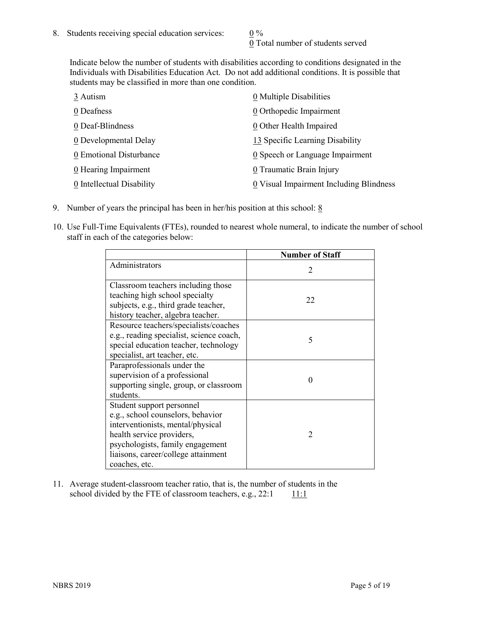0 Total number of students served

Indicate below the number of students with disabilities according to conditions designated in the Individuals with Disabilities Education Act. Do not add additional conditions. It is possible that students may be classified in more than one condition.

| 3 Autism                           | 0 Multiple Disabilities                 |
|------------------------------------|-----------------------------------------|
| 0 Deafness                         | 0 Orthopedic Impairment                 |
| 0 Deaf-Blindness                   | 0 Other Health Impaired                 |
| 0 Developmental Delay              | 13 Specific Learning Disability         |
| 0 Emotional Disturbance            | 0 Speech or Language Impairment         |
| $\underline{0}$ Hearing Impairment | 0 Traumatic Brain Injury                |
| 0 Intellectual Disability          | 0 Visual Impairment Including Blindness |

- 9. Number of years the principal has been in her/his position at this school:  $8$
- 10. Use Full-Time Equivalents (FTEs), rounded to nearest whole numeral, to indicate the number of school staff in each of the categories below:

|                                                                                                                                                                                                                              | <b>Number of Staff</b>      |
|------------------------------------------------------------------------------------------------------------------------------------------------------------------------------------------------------------------------------|-----------------------------|
| Administrators                                                                                                                                                                                                               | $\mathcal{D}_{\mathcal{A}}$ |
| Classroom teachers including those<br>teaching high school specialty<br>subjects, e.g., third grade teacher,<br>history teacher, algebra teacher.                                                                            | 22                          |
| Resource teachers/specialists/coaches<br>e.g., reading specialist, science coach,<br>special education teacher, technology<br>specialist, art teacher, etc.                                                                  | 5                           |
| Paraprofessionals under the<br>supervision of a professional<br>supporting single, group, or classroom<br>students.                                                                                                          | 0                           |
| Student support personnel<br>e.g., school counselors, behavior<br>interventionists, mental/physical<br>health service providers,<br>psychologists, family engagement<br>liaisons, career/college attainment<br>coaches, etc. | $\mathfrak{D}_{1}^{(1)}$    |

11. Average student-classroom teacher ratio, that is, the number of students in the school divided by the FTE of classroom teachers, e.g.,  $22:1$  11:1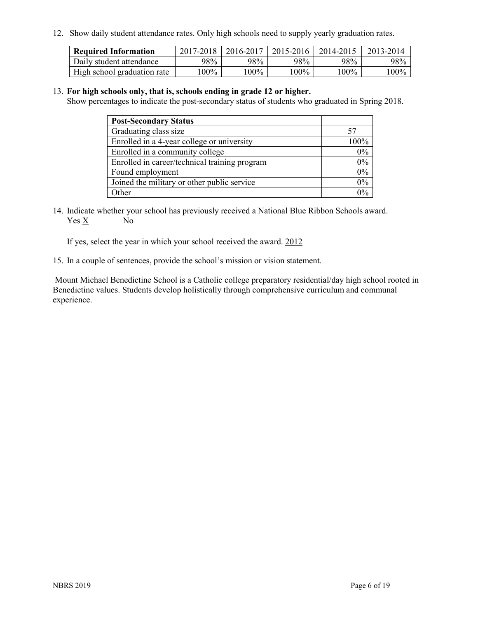12. Show daily student attendance rates. Only high schools need to supply yearly graduation rates.

| <b>Required Information</b> | 2017-2018 | 2016-2017 | 2015-2016 | 2014-2015 | 2013-2014 |
|-----------------------------|-----------|-----------|-----------|-----------|-----------|
| Daily student attendance    | 98%       | 98%       | 98%       | 98%       | 98%       |
| High school graduation rate | l00%      | $00\%$    | $00\%$    | $100\%$   | $100\%$   |

#### 13. **For high schools only, that is, schools ending in grade 12 or higher.**

Show percentages to indicate the post-secondary status of students who graduated in Spring 2018.

| <b>Post-Secondary Status</b>                  |                                |
|-----------------------------------------------|--------------------------------|
| Graduating class size                         |                                |
| Enrolled in a 4-year college or university    | $100\%$                        |
| Enrolled in a community college               | 0%                             |
| Enrolled in career/technical training program | $0\%$                          |
| Found employment                              | 0%                             |
| Joined the military or other public service   | 0%                             |
| Other                                         | $\gamma$ <sup>o</sup> / $\sim$ |

14. Indicate whether your school has previously received a National Blue Ribbon Schools award. Yes X No

If yes, select the year in which your school received the award. 2012

15. In a couple of sentences, provide the school's mission or vision statement.

Mount Michael Benedictine School is a Catholic college preparatory residential/day high school rooted in Benedictine values. Students develop holistically through comprehensive curriculum and communal experience.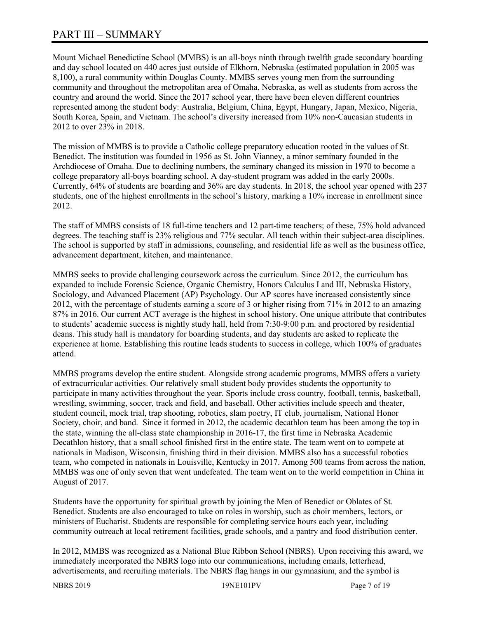## PART III – SUMMARY

Mount Michael Benedictine School (MMBS) is an all-boys ninth through twelfth grade secondary boarding and day school located on 440 acres just outside of Elkhorn, Nebraska (estimated population in 2005 was 8,100), a rural community within Douglas County. MMBS serves young men from the surrounding community and throughout the metropolitan area of Omaha, Nebraska, as well as students from across the country and around the world. Since the 2017 school year, there have been eleven different countries represented among the student body: Australia, Belgium, China, Egypt, Hungary, Japan, Mexico, Nigeria, South Korea, Spain, and Vietnam. The school's diversity increased from 10% non-Caucasian students in 2012 to over 23% in 2018.

The mission of MMBS is to provide a Catholic college preparatory education rooted in the values of St. Benedict. The institution was founded in 1956 as St. John Vianney, a minor seminary founded in the Archdiocese of Omaha. Due to declining numbers, the seminary changed its mission in 1970 to become a college preparatory all-boys boarding school. A day-student program was added in the early 2000s. Currently, 64% of students are boarding and 36% are day students. In 2018, the school year opened with 237 students, one of the highest enrollments in the school's history, marking a 10% increase in enrollment since 2012.

The staff of MMBS consists of 18 full-time teachers and 12 part-time teachers; of these, 75% hold advanced degrees. The teaching staff is 23% religious and 77% secular. All teach within their subject-area disciplines. The school is supported by staff in admissions, counseling, and residential life as well as the business office, advancement department, kitchen, and maintenance.

MMBS seeks to provide challenging coursework across the curriculum. Since 2012, the curriculum has expanded to include Forensic Science, Organic Chemistry, Honors Calculus I and III, Nebraska History, Sociology, and Advanced Placement (AP) Psychology. Our AP scores have increased consistently since 2012, with the percentage of students earning a score of 3 or higher rising from 71% in 2012 to an amazing 87% in 2016. Our current ACT average is the highest in school history. One unique attribute that contributes to students' academic success is nightly study hall, held from 7:30-9:00 p.m. and proctored by residential deans. This study hall is mandatory for boarding students, and day students are asked to replicate the experience at home. Establishing this routine leads students to success in college, which 100% of graduates attend.

MMBS programs develop the entire student. Alongside strong academic programs, MMBS offers a variety of extracurricular activities. Our relatively small student body provides students the opportunity to participate in many activities throughout the year. Sports include cross country, football, tennis, basketball, wrestling, swimming, soccer, track and field, and baseball. Other activities include speech and theater, student council, mock trial, trap shooting, robotics, slam poetry, IT club, journalism, National Honor Society, choir, and band. Since it formed in 2012, the academic decathlon team has been among the top in the state, winning the all-class state championship in 2016-17, the first time in Nebraska Academic Decathlon history, that a small school finished first in the entire state. The team went on to compete at nationals in Madison, Wisconsin, finishing third in their division. MMBS also has a successful robotics team, who competed in nationals in Louisville, Kentucky in 2017. Among 500 teams from across the nation, MMBS was one of only seven that went undefeated. The team went on to the world competition in China in August of 2017.

Students have the opportunity for spiritual growth by joining the Men of Benedict or Oblates of St. Benedict. Students are also encouraged to take on roles in worship, such as choir members, lectors, or ministers of Eucharist. Students are responsible for completing service hours each year, including community outreach at local retirement facilities, grade schools, and a pantry and food distribution center.

In 2012, MMBS was recognized as a National Blue Ribbon School (NBRS). Upon receiving this award, we immediately incorporated the NBRS logo into our communications, including emails, letterhead, advertisements, and recruiting materials. The NBRS flag hangs in our gymnasium, and the symbol is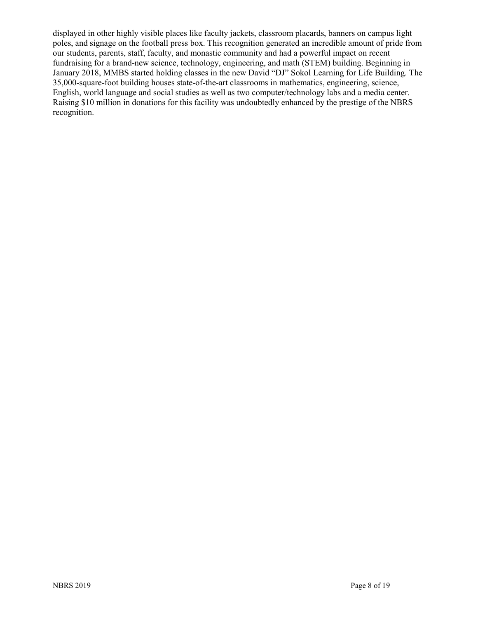displayed in other highly visible places like faculty jackets, classroom placards, banners on campus light poles, and signage on the football press box. This recognition generated an incredible amount of pride from our students, parents, staff, faculty, and monastic community and had a powerful impact on recent fundraising for a brand-new science, technology, engineering, and math (STEM) building. Beginning in January 2018, MMBS started holding classes in the new David "DJ" Sokol Learning for Life Building. The 35,000-square-foot building houses state-of-the-art classrooms in mathematics, engineering, science, English, world language and social studies as well as two computer/technology labs and a media center. Raising \$10 million in donations for this facility was undoubtedly enhanced by the prestige of the NBRS recognition.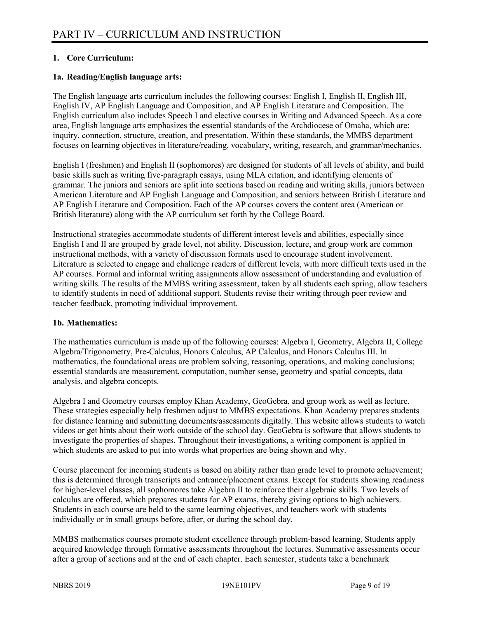#### **1. Core Curriculum:**

#### **1a. Reading/English language arts:**

The English language arts curriculum includes the following courses: English I, English II, English III, English IV, AP English Language and Composition, and AP English Literature and Composition. The English curriculum also includes Speech I and elective courses in Writing and Advanced Speech. As a core area, English language arts emphasizes the essential standards of the Archdiocese of Omaha, which are: inquiry, connection, structure, creation, and presentation. Within these standards, the MMBS department focuses on learning objectives in literature/reading, vocabulary, writing, research, and grammar/mechanics.

English I (freshmen) and English II (sophomores) are designed for students of all levels of ability, and build basic skills such as writing five-paragraph essays, using MLA citation, and identifying elements of grammar. The juniors and seniors are split into sections based on reading and writing skills, juniors between American Literature and AP English Language and Composition, and seniors between British Literature and AP English Literature and Composition. Each of the AP courses covers the content area (American or British literature) along with the AP curriculum set forth by the College Board.

Instructional strategies accommodate students of different interest levels and abilities, especially since English I and II are grouped by grade level, not ability. Discussion, lecture, and group work are common instructional methods, with a variety of discussion formats used to encourage student involvement. Literature is selected to engage and challenge readers of different levels, with more difficult texts used in the AP courses. Formal and informal writing assignments allow assessment of understanding and evaluation of writing skills. The results of the MMBS writing assessment, taken by all students each spring, allow teachers to identify students in need of additional support. Students revise their writing through peer review and teacher feedback, promoting individual improvement.

#### **1b. Mathematics:**

The mathematics curriculum is made up of the following courses: Algebra I, Geometry, Algebra II, College Algebra/Trigonometry, Pre-Calculus, Honors Calculus, AP Calculus, and Honors Calculus III. In mathematics, the foundational areas are problem solving, reasoning, operations, and making conclusions; essential standards are measurement, computation, number sense, geometry and spatial concepts, data analysis, and algebra concepts.

Algebra I and Geometry courses employ Khan Academy, GeoGebra, and group work as well as lecture. These strategies especially help freshmen adjust to MMBS expectations. Khan Academy prepares students for distance learning and submitting documents/assessments digitally. This website allows students to watch videos or get hints about their work outside of the school day. GeoGebra is software that allows students to investigate the properties of shapes. Throughout their investigations, a writing component is applied in which students are asked to put into words what properties are being shown and why.

Course placement for incoming students is based on ability rather than grade level to promote achievement; this is determined through transcripts and entrance/placement exams. Except for students showing readiness for higher-level classes, all sophomores take Algebra II to reinforce their algebraic skills. Two levels of calculus are offered, which prepares students for AP exams, thereby giving options to high achievers. Students in each course are held to the same learning objectives, and teachers work with students individually or in small groups before, after, or during the school day.

MMBS mathematics courses promote student excellence through problem-based learning. Students apply acquired knowledge through formative assessments throughout the lectures. Summative assessments occur after a group of sections and at the end of each chapter. Each semester, students take a benchmark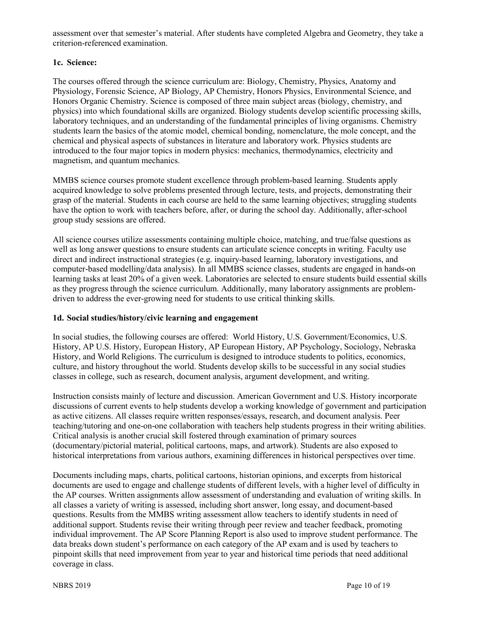assessment over that semester's material. After students have completed Algebra and Geometry, they take a criterion-referenced examination.

#### **1c. Science:**

The courses offered through the science curriculum are: Biology, Chemistry, Physics, Anatomy and Physiology, Forensic Science, AP Biology, AP Chemistry, Honors Physics, Environmental Science, and Honors Organic Chemistry. Science is composed of three main subject areas (biology, chemistry, and physics) into which foundational skills are organized. Biology students develop scientific processing skills, laboratory techniques, and an understanding of the fundamental principles of living organisms. Chemistry students learn the basics of the atomic model, chemical bonding, nomenclature, the mole concept, and the chemical and physical aspects of substances in literature and laboratory work. Physics students are introduced to the four major topics in modern physics: mechanics, thermodynamics, electricity and magnetism, and quantum mechanics.

MMBS science courses promote student excellence through problem-based learning. Students apply acquired knowledge to solve problems presented through lecture, tests, and projects, demonstrating their grasp of the material. Students in each course are held to the same learning objectives; struggling students have the option to work with teachers before, after, or during the school day. Additionally, after-school group study sessions are offered.

All science courses utilize assessments containing multiple choice, matching, and true/false questions as well as long answer questions to ensure students can articulate science concepts in writing. Faculty use direct and indirect instructional strategies (e.g. inquiry-based learning, laboratory investigations, and computer-based modelling/data analysis). In all MMBS science classes, students are engaged in hands-on learning tasks at least 20% of a given week. Laboratories are selected to ensure students build essential skills as they progress through the science curriculum. Additionally, many laboratory assignments are problemdriven to address the ever-growing need for students to use critical thinking skills.

#### **1d. Social studies/history/civic learning and engagement**

In social studies, the following courses are offered: World History, U.S. Government/Economics, U.S. History, AP U.S. History, European History, AP European History, AP Psychology, Sociology, Nebraska History, and World Religions. The curriculum is designed to introduce students to politics, economics, culture, and history throughout the world. Students develop skills to be successful in any social studies classes in college, such as research, document analysis, argument development, and writing.

Instruction consists mainly of lecture and discussion. American Government and U.S. History incorporate discussions of current events to help students develop a working knowledge of government and participation as active citizens. All classes require written responses/essays, research, and document analysis. Peer teaching/tutoring and one-on-one collaboration with teachers help students progress in their writing abilities. Critical analysis is another crucial skill fostered through examination of primary sources (documentary/pictorial material, political cartoons, maps, and artwork). Students are also exposed to historical interpretations from various authors, examining differences in historical perspectives over time.

Documents including maps, charts, political cartoons, historian opinions, and excerpts from historical documents are used to engage and challenge students of different levels, with a higher level of difficulty in the AP courses. Written assignments allow assessment of understanding and evaluation of writing skills. In all classes a variety of writing is assessed, including short answer, long essay, and document-based questions. Results from the MMBS writing assessment allow teachers to identify students in need of additional support. Students revise their writing through peer review and teacher feedback, promoting individual improvement. The AP Score Planning Report is also used to improve student performance. The data breaks down student's performance on each category of the AP exam and is used by teachers to pinpoint skills that need improvement from year to year and historical time periods that need additional coverage in class.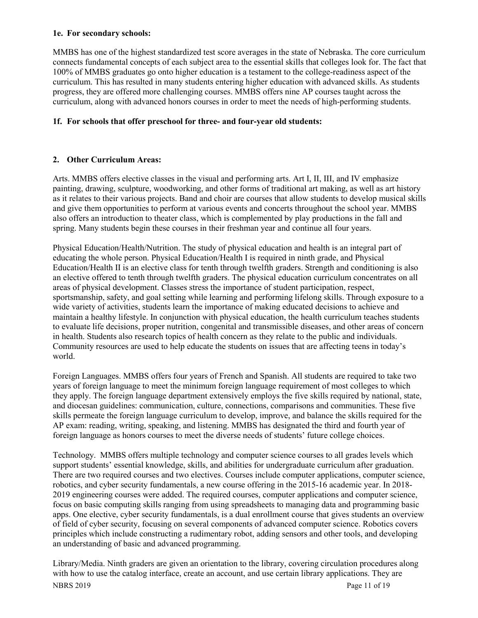#### **1e. For secondary schools:**

MMBS has one of the highest standardized test score averages in the state of Nebraska. The core curriculum connects fundamental concepts of each subject area to the essential skills that colleges look for. The fact that 100% of MMBS graduates go onto higher education is a testament to the college-readiness aspect of the curriculum. This has resulted in many students entering higher education with advanced skills. As students progress, they are offered more challenging courses. MMBS offers nine AP courses taught across the curriculum, along with advanced honors courses in order to meet the needs of high-performing students.

#### **1f. For schools that offer preschool for three- and four-year old students:**

#### **2. Other Curriculum Areas:**

Arts. MMBS offers elective classes in the visual and performing arts. Art I, II, III, and IV emphasize painting, drawing, sculpture, woodworking, and other forms of traditional art making, as well as art history as it relates to their various projects. Band and choir are courses that allow students to develop musical skills and give them opportunities to perform at various events and concerts throughout the school year. MMBS also offers an introduction to theater class, which is complemented by play productions in the fall and spring. Many students begin these courses in their freshman year and continue all four years.

Physical Education/Health/Nutrition. The study of physical education and health is an integral part of educating the whole person. Physical Education/Health I is required in ninth grade, and Physical Education/Health II is an elective class for tenth through twelfth graders. Strength and conditioning is also an elective offered to tenth through twelfth graders. The physical education curriculum concentrates on all areas of physical development. Classes stress the importance of student participation, respect, sportsmanship, safety, and goal setting while learning and performing lifelong skills. Through exposure to a wide variety of activities, students learn the importance of making educated decisions to achieve and maintain a healthy lifestyle. In conjunction with physical education, the health curriculum teaches students to evaluate life decisions, proper nutrition, congenital and transmissible diseases, and other areas of concern in health. Students also research topics of health concern as they relate to the public and individuals. Community resources are used to help educate the students on issues that are affecting teens in today's world.

Foreign Languages. MMBS offers four years of French and Spanish. All students are required to take two years of foreign language to meet the minimum foreign language requirement of most colleges to which they apply. The foreign language department extensively employs the five skills required by national, state, and diocesan guidelines: communication, culture, connections, comparisons and communities. These five skills permeate the foreign language curriculum to develop, improve, and balance the skills required for the AP exam: reading, writing, speaking, and listening. MMBS has designated the third and fourth year of foreign language as honors courses to meet the diverse needs of students' future college choices.

Technology. MMBS offers multiple technology and computer science courses to all grades levels which support students' essential knowledge, skills, and abilities for undergraduate curriculum after graduation. There are two required courses and two electives. Courses include computer applications, computer science, robotics, and cyber security fundamentals, a new course offering in the 2015-16 academic year. In 2018- 2019 engineering courses were added. The required courses, computer applications and computer science, focus on basic computing skills ranging from using spreadsheets to managing data and programming basic apps. One elective, cyber security fundamentals, is a dual enrollment course that gives students an overview of field of cyber security, focusing on several components of advanced computer science. Robotics covers principles which include constructing a rudimentary robot, adding sensors and other tools, and developing an understanding of basic and advanced programming.

NBRS 2019 Page 11 of 19 Library/Media. Ninth graders are given an orientation to the library, covering circulation procedures along with how to use the catalog interface, create an account, and use certain library applications. They are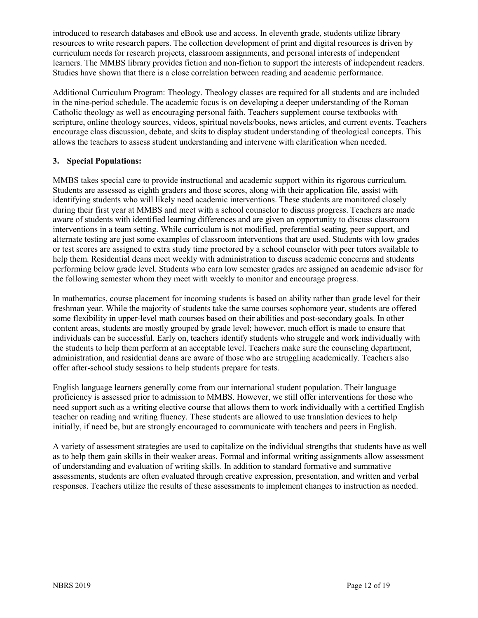introduced to research databases and eBook use and access. In eleventh grade, students utilize library resources to write research papers. The collection development of print and digital resources is driven by curriculum needs for research projects, classroom assignments, and personal interests of independent learners. The MMBS library provides fiction and non-fiction to support the interests of independent readers. Studies have shown that there is a close correlation between reading and academic performance.

Additional Curriculum Program: Theology. Theology classes are required for all students and are included in the nine-period schedule. The academic focus is on developing a deeper understanding of the Roman Catholic theology as well as encouraging personal faith. Teachers supplement course textbooks with scripture, online theology sources, videos, spiritual novels/books, news articles, and current events. Teachers encourage class discussion, debate, and skits to display student understanding of theological concepts. This allows the teachers to assess student understanding and intervene with clarification when needed.

#### **3. Special Populations:**

MMBS takes special care to provide instructional and academic support within its rigorous curriculum. Students are assessed as eighth graders and those scores, along with their application file, assist with identifying students who will likely need academic interventions. These students are monitored closely during their first year at MMBS and meet with a school counselor to discuss progress. Teachers are made aware of students with identified learning differences and are given an opportunity to discuss classroom interventions in a team setting. While curriculum is not modified, preferential seating, peer support, and alternate testing are just some examples of classroom interventions that are used. Students with low grades or test scores are assigned to extra study time proctored by a school counselor with peer tutors available to help them. Residential deans meet weekly with administration to discuss academic concerns and students performing below grade level. Students who earn low semester grades are assigned an academic advisor for the following semester whom they meet with weekly to monitor and encourage progress.

In mathematics, course placement for incoming students is based on ability rather than grade level for their freshman year. While the majority of students take the same courses sophomore year, students are offered some flexibility in upper-level math courses based on their abilities and post-secondary goals. In other content areas, students are mostly grouped by grade level; however, much effort is made to ensure that individuals can be successful. Early on, teachers identify students who struggle and work individually with the students to help them perform at an acceptable level. Teachers make sure the counseling department, administration, and residential deans are aware of those who are struggling academically. Teachers also offer after-school study sessions to help students prepare for tests.

English language learners generally come from our international student population. Their language proficiency is assessed prior to admission to MMBS. However, we still offer interventions for those who need support such as a writing elective course that allows them to work individually with a certified English teacher on reading and writing fluency. These students are allowed to use translation devices to help initially, if need be, but are strongly encouraged to communicate with teachers and peers in English.

A variety of assessment strategies are used to capitalize on the individual strengths that students have as well as to help them gain skills in their weaker areas. Formal and informal writing assignments allow assessment of understanding and evaluation of writing skills. In addition to standard formative and summative assessments, students are often evaluated through creative expression, presentation, and written and verbal responses. Teachers utilize the results of these assessments to implement changes to instruction as needed.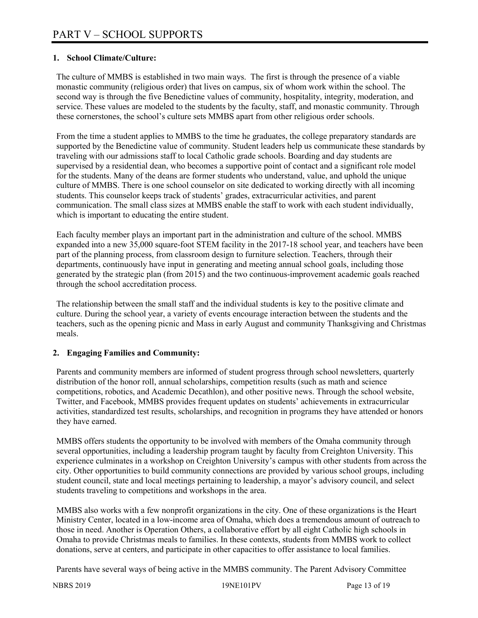#### **1. School Climate/Culture:**

The culture of MMBS is established in two main ways. The first is through the presence of a viable monastic community (religious order) that lives on campus, six of whom work within the school. The second way is through the five Benedictine values of community, hospitality, integrity, moderation, and service. These values are modeled to the students by the faculty, staff, and monastic community. Through these cornerstones, the school's culture sets MMBS apart from other religious order schools.

From the time a student applies to MMBS to the time he graduates, the college preparatory standards are supported by the Benedictine value of community. Student leaders help us communicate these standards by traveling with our admissions staff to local Catholic grade schools. Boarding and day students are supervised by a residential dean, who becomes a supportive point of contact and a significant role model for the students. Many of the deans are former students who understand, value, and uphold the unique culture of MMBS. There is one school counselor on site dedicated to working directly with all incoming students. This counselor keeps track of students' grades, extracurricular activities, and parent communication. The small class sizes at MMBS enable the staff to work with each student individually, which is important to educating the entire student.

Each faculty member plays an important part in the administration and culture of the school. MMBS expanded into a new 35,000 square-foot STEM facility in the 2017-18 school year, and teachers have been part of the planning process, from classroom design to furniture selection. Teachers, through their departments, continuously have input in generating and meeting annual school goals, including those generated by the strategic plan (from 2015) and the two continuous-improvement academic goals reached through the school accreditation process.

The relationship between the small staff and the individual students is key to the positive climate and culture. During the school year, a variety of events encourage interaction between the students and the teachers, such as the opening picnic and Mass in early August and community Thanksgiving and Christmas meals.

#### **2. Engaging Families and Community:**

Parents and community members are informed of student progress through school newsletters, quarterly distribution of the honor roll, annual scholarships, competition results (such as math and science competitions, robotics, and Academic Decathlon), and other positive news. Through the school website, Twitter, and Facebook, MMBS provides frequent updates on students' achievements in extracurricular activities, standardized test results, scholarships, and recognition in programs they have attended or honors they have earned.

MMBS offers students the opportunity to be involved with members of the Omaha community through several opportunities, including a leadership program taught by faculty from Creighton University. This experience culminates in a workshop on Creighton University's campus with other students from across the city. Other opportunities to build community connections are provided by various school groups, including student council, state and local meetings pertaining to leadership, a mayor's advisory council, and select students traveling to competitions and workshops in the area.

MMBS also works with a few nonprofit organizations in the city. One of these organizations is the Heart Ministry Center, located in a low-income area of Omaha, which does a tremendous amount of outreach to those in need. Another is Operation Others, a collaborative effort by all eight Catholic high schools in Omaha to provide Christmas meals to families. In these contexts, students from MMBS work to collect donations, serve at centers, and participate in other capacities to offer assistance to local families.

Parents have several ways of being active in the MMBS community. The Parent Advisory Committee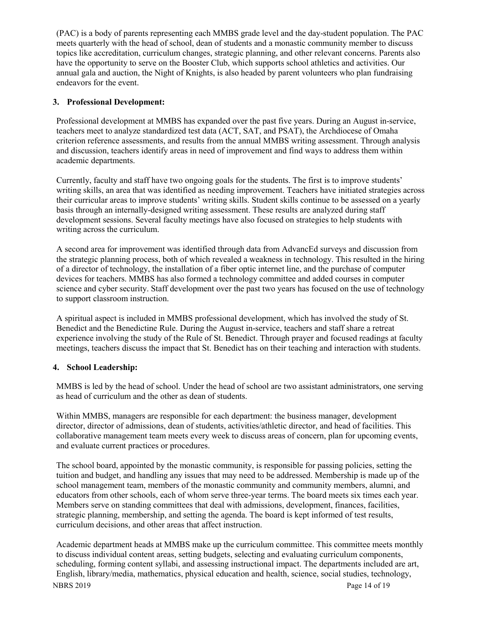(PAC) is a body of parents representing each MMBS grade level and the day-student population. The PAC meets quarterly with the head of school, dean of students and a monastic community member to discuss topics like accreditation, curriculum changes, strategic planning, and other relevant concerns. Parents also have the opportunity to serve on the Booster Club, which supports school athletics and activities. Our annual gala and auction, the Night of Knights, is also headed by parent volunteers who plan fundraising endeavors for the event.

#### **3. Professional Development:**

Professional development at MMBS has expanded over the past five years. During an August in-service, teachers meet to analyze standardized test data (ACT, SAT, and PSAT), the Archdiocese of Omaha criterion reference assessments, and results from the annual MMBS writing assessment. Through analysis and discussion, teachers identify areas in need of improvement and find ways to address them within academic departments.

Currently, faculty and staff have two ongoing goals for the students. The first is to improve students' writing skills, an area that was identified as needing improvement. Teachers have initiated strategies across their curricular areas to improve students' writing skills. Student skills continue to be assessed on a yearly basis through an internally-designed writing assessment. These results are analyzed during staff development sessions. Several faculty meetings have also focused on strategies to help students with writing across the curriculum.

A second area for improvement was identified through data from AdvancEd surveys and discussion from the strategic planning process, both of which revealed a weakness in technology. This resulted in the hiring of a director of technology, the installation of a fiber optic internet line, and the purchase of computer devices for teachers. MMBS has also formed a technology committee and added courses in computer science and cyber security. Staff development over the past two years has focused on the use of technology to support classroom instruction.

A spiritual aspect is included in MMBS professional development, which has involved the study of St. Benedict and the Benedictine Rule. During the August in-service, teachers and staff share a retreat experience involving the study of the Rule of St. Benedict. Through prayer and focused readings at faculty meetings, teachers discuss the impact that St. Benedict has on their teaching and interaction with students.

#### **4. School Leadership:**

MMBS is led by the head of school. Under the head of school are two assistant administrators, one serving as head of curriculum and the other as dean of students.

Within MMBS, managers are responsible for each department: the business manager, development director, director of admissions, dean of students, activities/athletic director, and head of facilities. This collaborative management team meets every week to discuss areas of concern, plan for upcoming events, and evaluate current practices or procedures.

The school board, appointed by the monastic community, is responsible for passing policies, setting the tuition and budget, and handling any issues that may need to be addressed. Membership is made up of the school management team, members of the monastic community and community members, alumni, and educators from other schools, each of whom serve three-year terms. The board meets six times each year. Members serve on standing committees that deal with admissions, development, finances, facilities, strategic planning, membership, and setting the agenda. The board is kept informed of test results, curriculum decisions, and other areas that affect instruction.

NBRS 2019 Page 14 of 19 Academic department heads at MMBS make up the curriculum committee. This committee meets monthly to discuss individual content areas, setting budgets, selecting and evaluating curriculum components, scheduling, forming content syllabi, and assessing instructional impact. The departments included are art, English, library/media, mathematics, physical education and health, science, social studies, technology,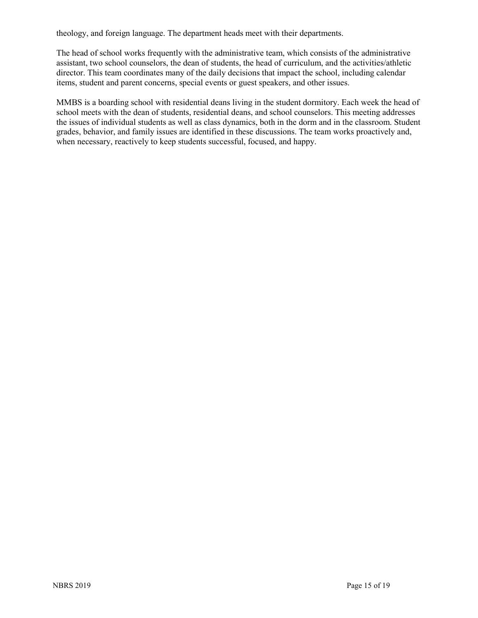theology, and foreign language. The department heads meet with their departments.

The head of school works frequently with the administrative team, which consists of the administrative assistant, two school counselors, the dean of students, the head of curriculum, and the activities/athletic director. This team coordinates many of the daily decisions that impact the school, including calendar items, student and parent concerns, special events or guest speakers, and other issues.

MMBS is a boarding school with residential deans living in the student dormitory. Each week the head of school meets with the dean of students, residential deans, and school counselors. This meeting addresses the issues of individual students as well as class dynamics, both in the dorm and in the classroom. Student grades, behavior, and family issues are identified in these discussions. The team works proactively and, when necessary, reactively to keep students successful, focused, and happy.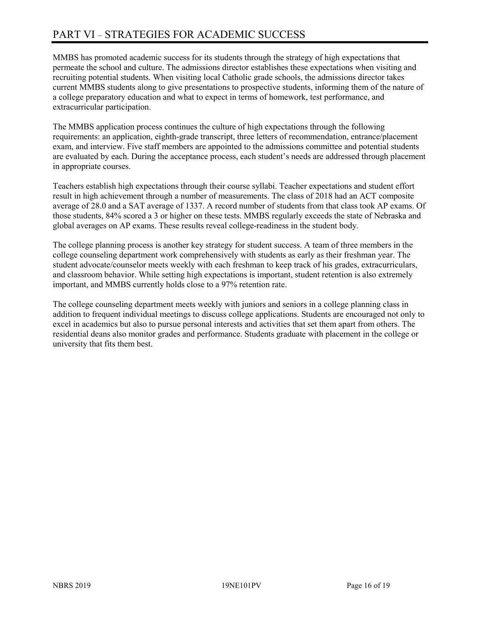# PART VI – STRATEGIES FOR ACADEMIC SUCCESS

MMBS has promoted academic success for its students through the strategy of high expectations that permeate the school and culture. The admissions director establishes these expectations when visiting and recruiting potential students. When visiting local Catholic grade schools, the admissions director takes current MMBS students along to give presentations to prospective students, informing them of the nature of a college preparatory education and what to expect in terms of homework, test performance, and extracurricular participation.

The MMBS application process continues the culture of high expectations through the following requirements: an application, eighth-grade transcript, three letters of recommendation, entrance/placement exam, and interview. Five staff members are appointed to the admissions committee and potential students are evaluated by each. During the acceptance process, each student's needs are addressed through placement in appropriate courses.

Teachers establish high expectations through their course syllabi. Teacher expectations and student effort result in high achievement through a number of measurements. The class of 2018 had an ACT composite average of 28.0 and a SAT average of 1337. A record number of students from that class took AP exams. Of those students, 84% scored a 3 or higher on these tests. MMBS regularly exceeds the state of Nebraska and global averages on AP exams. These results reveal college-readiness in the student body.

The college planning process is another key strategy for student success. A team of three members in the college counseling department work comprehensively with students as early as their freshman year. The student advocate/counselor meets weekly with each freshman to keep track of his grades, extracurriculars, and classroom behavior. While setting high expectations is important, student retention is also extremely important, and MMBS currently holds close to a 97% retention rate.

The college counseling department meets weekly with juniors and seniors in a college planning class in addition to frequent individual meetings to discuss college applications. Students are encouraged not only to excel in academics but also to pursue personal interests and activities that set them apart from others. The residential deans also monitor grades and performance. Students graduate with placement in the college or university that fits them best.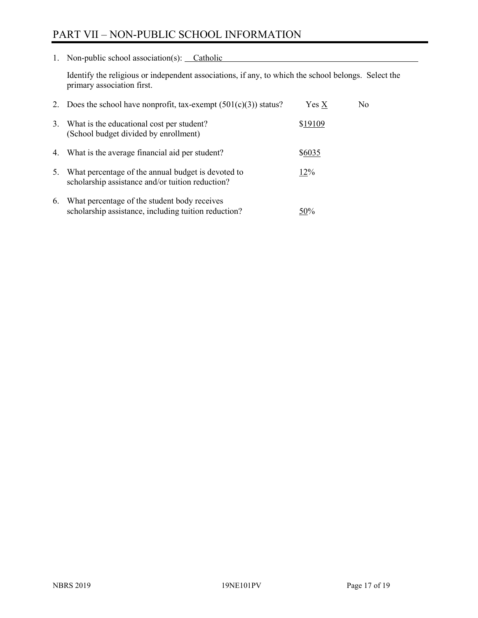## PART VII – NON-PUBLIC SCHOOL INFORMATION

1. Non-public school association(s): Catholic

Identify the religious or independent associations, if any, to which the school belongs. Select the primary association first.

|    | 2. Does the school have nonprofit, tax-exempt $(501(c)(3))$ status?                                    | Yes X   | No. |
|----|--------------------------------------------------------------------------------------------------------|---------|-----|
| 3. | What is the educational cost per student?<br>(School budget divided by enrollment)                     | \$19109 |     |
| 4. | What is the average financial aid per student?                                                         | \$6035  |     |
| 5. | What percentage of the annual budget is devoted to<br>scholarship assistance and/or tuition reduction? | 12%     |     |
| 6. | What percentage of the student body receives<br>scholarship assistance, including tuition reduction?   | 50%     |     |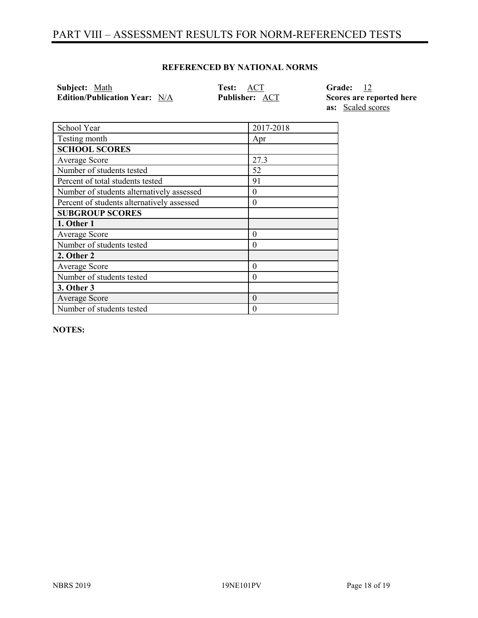## PART VIII – ASSESSMENT RESULTS FOR NORM-REFERENCED TESTS

#### **REFERENCED BY NATIONAL NORMS**

| Subject: Math                        | <b>Test: ACT</b>      | Grade: 12                |
|--------------------------------------|-----------------------|--------------------------|
| <b>Edition/Publication Year:</b> N/A | <b>Publisher: ACT</b> | Scores are reported here |
|                                      |                       | <b>as:</b> Scaled scores |

| School Year                                | 2017-2018 |
|--------------------------------------------|-----------|
| Testing month                              | Apr       |
| <b>SCHOOL SCORES</b>                       |           |
| Average Score                              | 27.3      |
| Number of students tested                  | 52        |
| Percent of total students tested           | 91        |
| Number of students alternatively assessed  | 0         |
| Percent of students alternatively assessed | 0         |
| <b>SUBGROUP SCORES</b>                     |           |
| 1. Other 1                                 |           |
| Average Score                              | 0         |
| Number of students tested                  | 0         |
| 2. Other 2                                 |           |
| Average Score                              | 0         |
| Number of students tested                  | 0         |
| 3. Other 3                                 |           |
| Average Score                              | $\theta$  |
| Number of students tested                  | 0         |

**NOTES:**